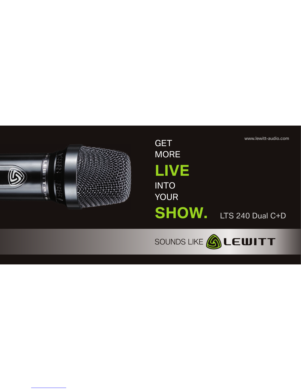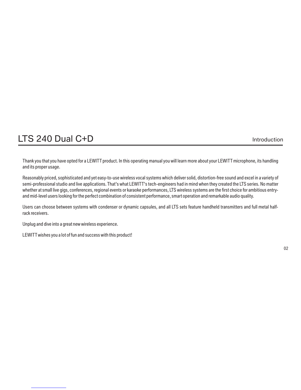### LTS 240 Dual C+D Introduction

Thank you that you have opted for a LEWITT product. In this operating manual you will learn more about your LEWITT microphone, its handling and its proper usage.

Reasonably priced, sophisticated and yet easy-to-use wireless vocal systems which deliver solid, distortion-free sound and excel in a variety of semi-professional studio and live applications. That's what LEWITT's tech-engineers had in mind when they created the LTS series. No matter whether at small live gigs, conferences, regional events or karaoke performances, LTS wireless systems are the first choice for ambitious entryand mid-level users looking for the perfect combination of consistent performance, smart operation and remarkable audio quality.

Users can choose between systems with condenser or dynamic capsules, and all LTS sets feature handheld transmitters and full metal halfrack receivers.

Unplug and dive into a great new wireless experience.

LEWITT wishes you a lot of fun and success with this product!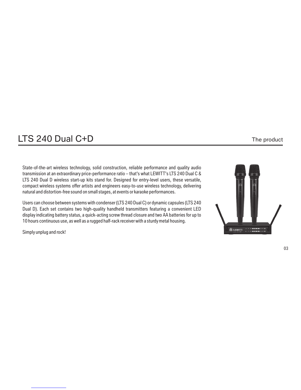### LTS 240 Dual C+D The product

State-of-the-art wireless technology, solid construction, reliable performance and quality audio transmission at an extraordinary price-performance ratio – that's what LEWITT's LTS 240 Dual C & LTS 240 Dual D wireless start-up kits stand for. Designed for entry-level users, these versatile, compact wireless systems offer artists and engineers easy-to-use wireless technology, delivering natural and distortion-free sound on small stages, at events or karaoke performances.

Users can choose between systems with condenser (LTS 240 Dual C) or dynamic capsules (LTS 240 Dual D). Each set contains two high-quality handheld transmitters featuring a convenient LED display indicating battery status, a quick-acting screw thread closure and two AA batteries for up to 10 hours continuous use, as well as a rugged half-rack receiver with a sturdy metal housing.

Simply unplug and rock!

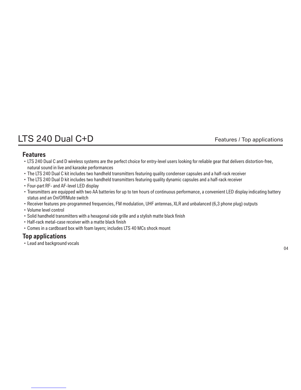# LTS 240 Dual C+D Features / Top applications

#### **Features**

- ·LTS 240 Dual C and D wireless systems are the perfect choice for entry-level users looking for reliable gear that delivers distortion-free, natural sound in live and karaoke performances
- ·The LTS 240 Dual C kit includes two handheld transmitters featuring quality condenser capsules and a half-rack receiver
- ·The LTS 240 Dual D kit includes two handheld transmitters featuring quality dynamic capsules and a half-rack receiver
- ·Four-part RF- and AF-level LED display
- ·Transmitters are equipped with two AA batteries for up to ten hours of continuous performance, a convenient LED display indicating battery status and an On/Off/Mute switch
- ·Receiver features pre-programmed frequencies, FM modulation, UHF antennas, XLR and unbalanced (6,3 phone plug) outputs
- ·Volume level control
- ·Solid handheld transmitters with a hexagonal side grille and a stylish matte black finish
- ·Half-rack metal-case receiver with a matte black finish
- ·Comes in a cardboard box with foam layers; includes LTS 40 MCs shock mount

### **Top applications**

·Lead and background vocals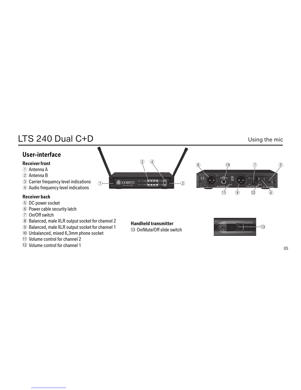# LTS 240 Dual C+D Using the mic

### **User-interface**

#### **Receiver front**

- Antenna A ①
- Antenna B ②
- Carrier frequency level indications ③
- Audio frequency level indications ④

#### **Receiver back**

- ⑤ DC power socket
- ⑥ Power cable security latch
- ⑦ On/Off switch
- ⑧ Balanced, male XLR output socket for channel 2
- ⑨ Balanced, male XLR output socket for channel 1
- ⑩ Unbalanced, mixed 6,3mm phone socket
- Volume control for channel 2
- Volume control for channel 1







#### On/Mute/Off slide switch

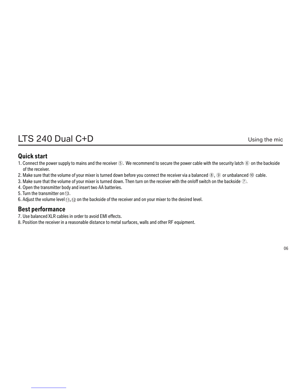### LTS 240 Dual C+D Using the mic

### **Quick start**

- 1 . Connect the power supply to mains and the receiver ⑤. We recommend to secure the power cable with the security latch ⑥ on the backside of the receiver.
- 2. Make sure that the volume of your mixer is turned down before you connect the receiver via a balanced ⑧, ⑨ or unbalanced ⑩ cable.
- 3. Make sure that the volume of your mixer is turned down. Then turn on the receiver with the on/off switch on the backside  $\mathcal{D}$ .
- 4. Open the transmitter body and insert two AA batteries.
- 5. Turn the transmitter on  $\mathbb{G}$ .
- 6. Adjust the volume level  $\textcircled{1}, \textcircled{2}$  on the backside of the receiver and on your mixer to the desired level.

### **Best performance**

- 7 Use balanced XLR cables in order to avoid EMI effects. .
- 8. Position the receiver in a reasonable distance to metal surfaces, walls and other RF equipment.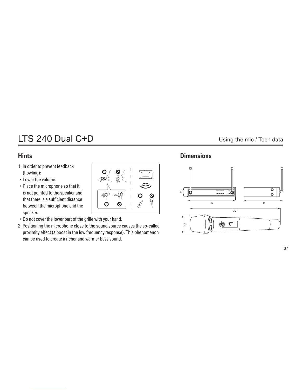# LTS 240 Dual C+D Using the mic / Tech data

### **Hints**

- 1. In order to prevent feedback (howling):
- ·Lower the volume.
- ·Place the microphone so that it is not pointed to the speaker and that there is a sufficient distance between the microphone and the speaker.
- ·Do not cover the lower part of the grille with your hand.
- 2. Positioning the microphone close to the sound source causes the so-called proximity effect (a boost in the low frequency response). This phenomenon can be used to create a richer and warmer bass sound.

O  $\leftarrow$ 

 $\Leftrightarrow$ 

 $\overline{O}$ 

 $\Leftrightarrow$ 

 $\mathsf{\Omega}$ 

O

### **Dimensions**

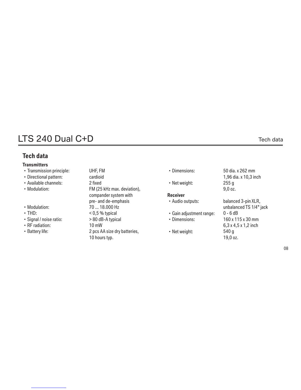### LTS 240 Dual C+D Tech data

### **Tech data**

#### **Transmitters**

- ·Transmission principle:
- · Directional pattern:
- ·Available channels:
- ·Modulation:
- ·Modulation:
- ·THD:
- ·Signal / noise ratio:
- ·RF radiation:
- ·Battery life:

UHF, FM 2 fixed FM (25 kHz max. deviation), compander system with pre- and de-emphasis 70 ... 18.000 Hz < 0,5 % typical > 80 dB-A typical 10 mW 2 pcs AA size dry batteries, 10 hours typ. cardioid

·Dimensions:

·Net weight:

#### **Receiver**

- ·Audio outputs:
- ·Gain adjustment range:
- ·Dimensions:
- ·Net weight:

50 dia. x 262 mm 1,96 dia. x 10,3 inch 255 g 9,0 oz.

balanced 3-pin XLR, unbalanced TS 1/4" jack 0 - 6 dB 160 x 115 x 30 mm 6,3 x 4,5 x 1,2 inch 540 g 19,0 oz.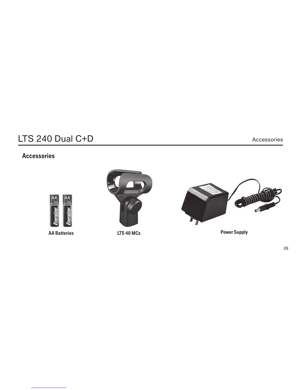# LTS 240 Dual C+D Accessories

### **Accessories**







**AA Batteries LTS 40 MCs Power Supply**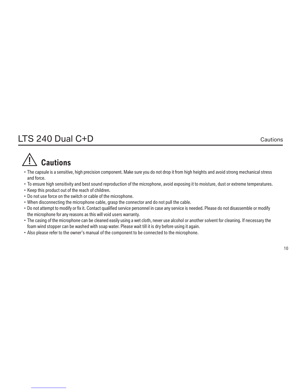### LTS 240 Dual C+D Cautions

# **Cautions**

- · The capsule is a sensitive, high precision component. Make sure you do not drop it from high heights and avoid strong mechanical stress and force.
- ·To ensure high sensitivity and best sound reproduction of the microphone, avoid exposing it to moisture, dust or extreme temperatures.
- ·Keep this product out of the reach of children.
- ·Do not use force on the switch or cable of the microphone.
- ·When disconnecting the microphone cable, grasp the connector and do not pull the cable.
- ·Do not attempt to modify or fix it. Contact qualified service personnel in case any service is needed. Please do not disassemble or modify the microphone for any reasons as this will void users warranty.
- ·The casing of the microphone can be cleaned easily using a wet cloth, never use alcohol or another solvent for cleaning. If necessary the foam wind stopper can be washed with soap water. Please wait till it is dry before using it again.
- ·Also please refer to the owner's manual of the component to be connected to the microphone.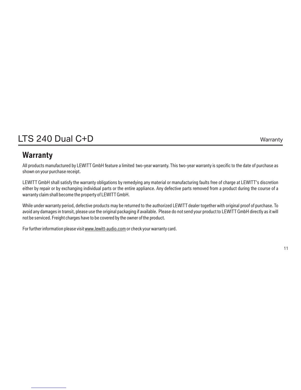# LTS 240 Dual C+D Warranty

### **Warranty**

All products manufactured by LEWITT GmbH feature a limited two-year warranty. This two-year warranty is specific to the date of purchase as shown on your purchase receipt.

LEWITT GmbH shall satisfy the warranty obligations by remedying any material or manufacturing faults free of charge at LEWITT's discretion either by repair or by exchanging individual parts or the entire appliance. Any defective parts removed from a product during the course of a warranty claim shall become the property of LEWITT GmbH.

While under warranty period, defective products may be returned to the authorized LEWITT dealer together with original proof of purchase. To avoid any damages in transit, please use the original packaging if available. Please do not send your product to LEWITT GmbH directly as it will not be serviced. Freight charges have to be covered by the owner of the product.

For further information please visit www.lewitt-audio.com or check your warranty card.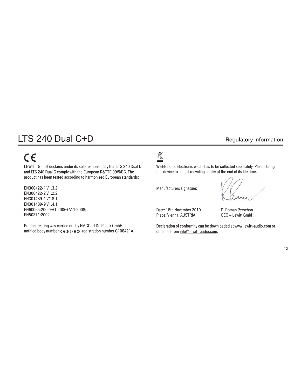# LTS 240 Dual C+D Regulatory information

# $C \in$

LEWITT GmbH declares under its sole responsibility that LTS 240 Dual D and LTS 240 Dual C comply with the European R&TTE 99/5/EC. The product has been tested according to harmonized European standards:

EN300422-1 V1.3.2; EN300422-2 V1.2.2; EN301489-1 V1.8.1; EN301489-9 V1.4.1; EN60065:2002+A1:2006+A11:2008; EN50371:2002

Product testing was carried out by EMCCert Dr. Rasek GmbH, notified body number: ( $606780$ , registration number G108421A.

# $\boxed{\boxtimes}$

WEEE note: Electronic waste has to be collected separately. Please bring this device to a local recycling center at the end of its life time.

Manufacturers signature:

Date: 18th November 2010 DI Roman Perschon Place: Vienna, AUSTRIA CEO – Lewitt GmbH

Declaration of conformity can be downloaded at www.lewitt-audio.com or obtained from info@lewitt-audio.com.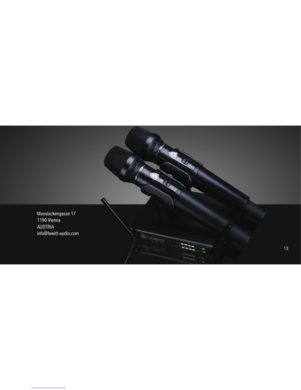